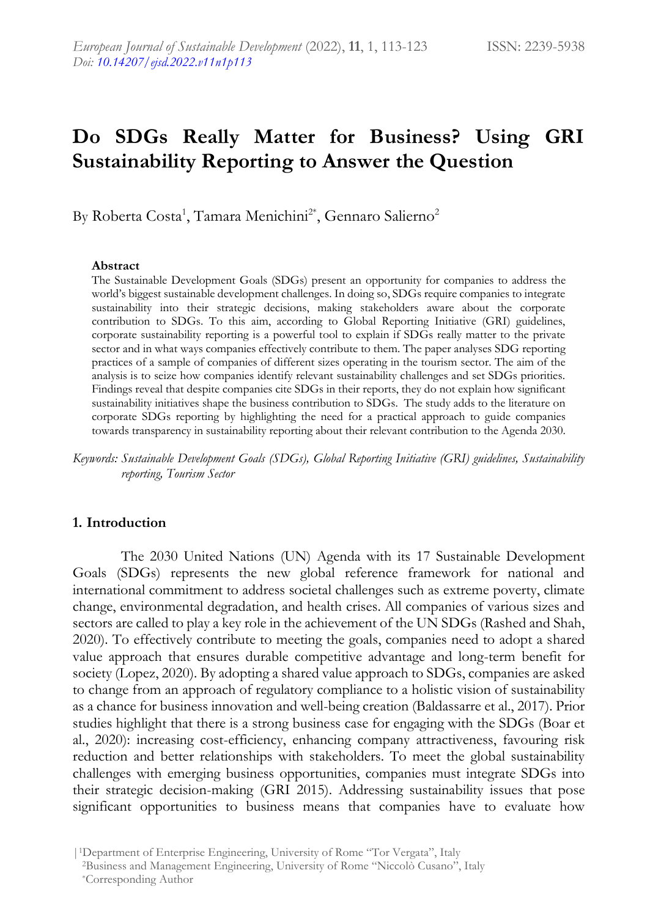# **Do SDGs Really Matter for Business? Using GRI Sustainability Reporting to Answer the Question**

By Roberta Costa<sup>1</sup>, Tamara Menichini<sup>2\*</sup>, Gennaro Salierno<sup>2</sup>

#### **Abstract**

The Sustainable Development Goals (SDGs) present an opportunity for companies to address the world's biggest sustainable development challenges. In doing so, SDGs require companies to integrate sustainability into their strategic decisions, making stakeholders aware about the corporate contribution to SDGs. To this aim, according to Global Reporting Initiative (GRI) guidelines, corporate sustainability reporting is a powerful tool to explain if SDGs really matter to the private sector and in what ways companies effectively contribute to them. The paper analyses SDG reporting practices of a sample of companies of different sizes operating in the tourism sector. The aim of the analysis is to seize how companies identify relevant sustainability challenges and set SDGs priorities. Findings reveal that despite companies cite SDGs in their reports, they do not explain how significant sustainability initiatives shape the business contribution to SDGs. The study adds to the literature on corporate SDGs reporting by highlighting the need for a practical approach to guide companies towards transparency in sustainability reporting about their relevant contribution to the Agenda 2030.

*Keywords: Sustainable Development Goals (SDGs), Global Reporting Initiative (GRI) guidelines, Sustainability reporting, Tourism Sector*

### **1. Introduction**

The 2030 United Nations (UN) Agenda with its 17 Sustainable Development Goals (SDGs) represents the new global reference framework for national and international commitment to address societal challenges such as extreme poverty, climate change, environmental degradation, and health crises. All companies of various sizes and sectors are called to play a key role in the achievement of the UN SDGs (Rashed and Shah, 2020). To effectively contribute to meeting the goals, companies need to adopt a shared value approach that ensures durable competitive advantage and long-term benefit for society (Lopez, 2020). By adopting a shared value approach to SDGs, companies are asked to change from an approach of regulatory compliance to a holistic vision of sustainability as a chance for business innovation and well-being creation (Baldassarre et al., 2017). Prior studies highlight that there is a strong business case for engaging with the SDGs (Boar et al., 2020): increasing cost-efficiency, enhancing company attractiveness, favouring risk reduction and better relationships with stakeholders. To meet the global sustainability challenges with emerging business opportunities, companies must integrate SDGs into their strategic decision-making (GRI 2015). Addressing sustainability issues that pose significant opportunities to business means that companies have to evaluate how

|1Department of Enterprise Engineering, University of Rome "Tor Vergata", Italy <sup>2</sup>Business and Management Engineering, University of Rome "Niccolò Cusano", Italy \*Corresponding Author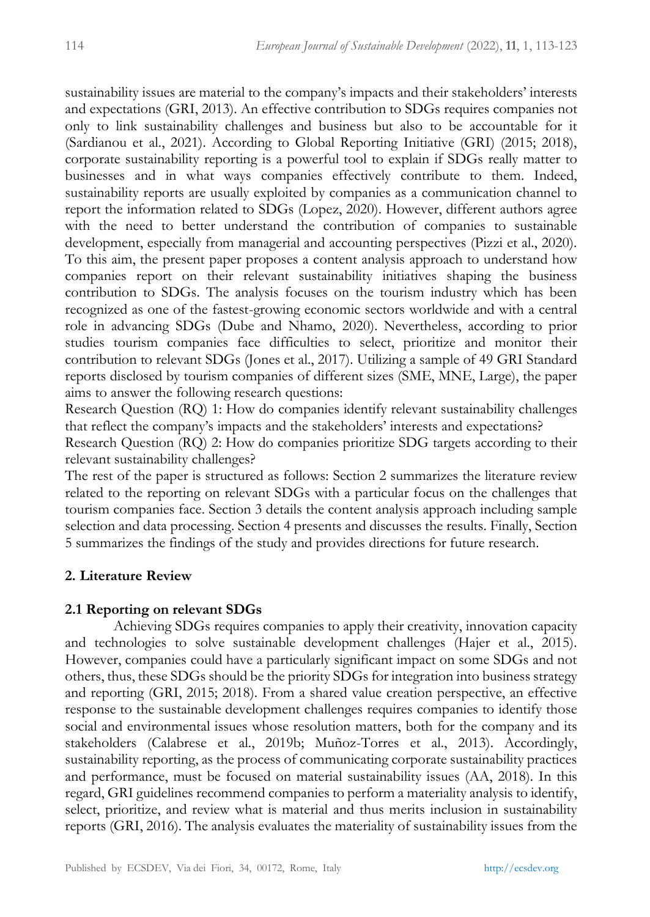sustainability issues are material to the company's impacts and their stakeholders' interests and expectations (GRI, 2013). An effective contribution to SDGs requires companies not only to link sustainability challenges and business but also to be accountable for it (Sardianou et al., 2021). According to Global Reporting Initiative (GRI) (2015; 2018), corporate sustainability reporting is a powerful tool to explain if SDGs really matter to businesses and in what ways companies effectively contribute to them. Indeed, sustainability reports are usually exploited by companies as a communication channel to report the information related to SDGs (Lopez, 2020). However, different authors agree with the need to better understand the contribution of companies to sustainable development, especially from managerial and accounting perspectives (Pizzi et al., 2020). To this aim, the present paper proposes a content analysis approach to understand how companies report on their relevant sustainability initiatives shaping the business contribution to SDGs. The analysis focuses on the tourism industry which has been recognized as one of the fastest-growing economic sectors worldwide and with a central role in advancing SDGs (Dube and Nhamo, 2020). Nevertheless, according to prior studies tourism companies face difficulties to select, prioritize and monitor their contribution to relevant SDGs (Jones et al., 2017). Utilizing a sample of 49 GRI Standard reports disclosed by tourism companies of different sizes (SME, MNE, Large), the paper aims to answer the following research questions:

Research Question (RQ) 1: How do companies identify relevant sustainability challenges that reflect the company's impacts and the stakeholders' interests and expectations?

Research Question (RQ) 2: How do companies prioritize SDG targets according to their relevant sustainability challenges?

The rest of the paper is structured as follows: Section 2 summarizes the literature review related to the reporting on relevant SDGs with a particular focus on the challenges that tourism companies face. Section 3 details the content analysis approach including sample selection and data processing. Section 4 presents and discusses the results. Finally, Section 5 summarizes the findings of the study and provides directions for future research.

# **2. Literature Review**

## **2.1 Reporting on relevant SDGs**

Achieving SDGs requires companies to apply their creativity, innovation capacity and technologies to solve sustainable development challenges (Hajer et al., 2015). However, companies could have a particularly significant impact on some SDGs and not others, thus, these SDGs should be the priority SDGs for integration into business strategy and reporting (GRI, 2015; 2018). From a shared value creation perspective, an effective response to the sustainable development challenges requires companies to identify those social and environmental issues whose resolution matters, both for the company and its stakeholders (Calabrese et al., 2019b; Muñoz-Torres et al., 2013). Accordingly, sustainability reporting, as the process of communicating corporate sustainability practices and performance, must be focused on material sustainability issues (AA, 2018). In this regard, GRI guidelines recommend companies to perform a materiality analysis to identify, select, prioritize, and review what is material and thus merits inclusion in sustainability reports (GRI, 2016). The analysis evaluates the materiality of sustainability issues from the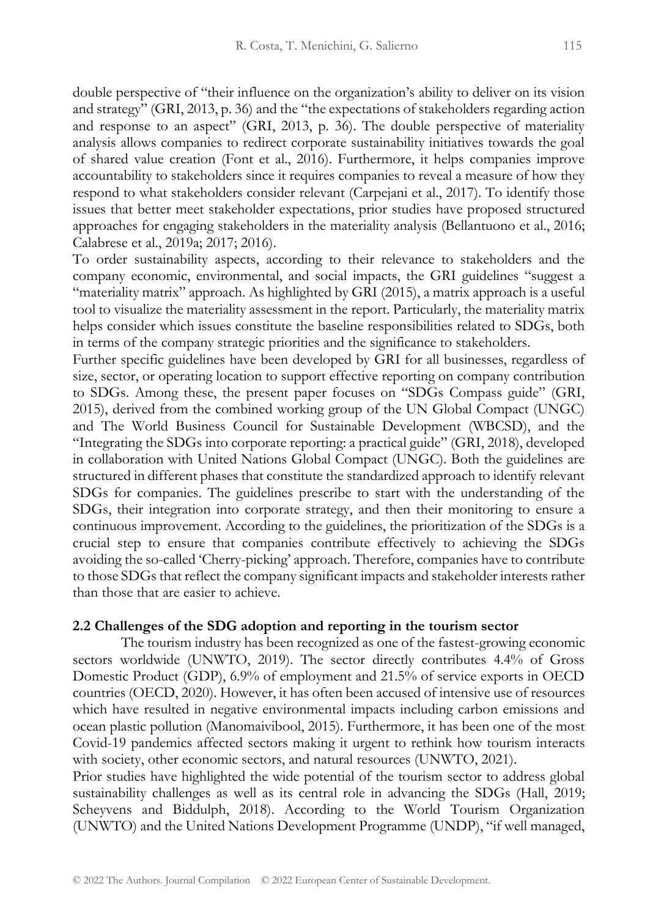double perspective of "their influence on the organization's ability to deliver on its vision and strategy" (GRI, 2013, p. 36) and the "the expectations of stakeholders regarding action and response to an aspect" (GRI, 2013, p. 36). The double perspective of materiality analysis allows companies to redirect corporate sustainability initiatives towards the goal of shared value creation (Font et al., 2016). Furthermore, it helps companies improve accountability to stakeholders since it requires companies to reveal a measure of how they respond to what stakeholders consider relevant (Carpejani et al., 2017). To identify those issues that better meet stakeholder expectations, prior studies have proposed structured approaches for engaging stakeholders in the materiality analysis (Bellantuono et al., 2016; Calabrese et al., 2019a; 2017; 2016).

To order sustainability aspects, according to their relevance to stakeholders and the company economic, environmental, and social impacts, the GRI guidelines "suggest a "materiality matrix" approach. As highlighted by GRI (2015), a matrix approach is a useful tool to visualize the materiality assessment in the report. Particularly, the materiality matrix helps consider which issues constitute the baseline responsibilities related to SDGs, both in terms of the company strategic priorities and the significance to stakeholders.

Further specific guidelines have been developed by GRI for all businesses, regardless of size, sector, or operating location to support effective reporting on company contribution to SDGs. Among these, the present paper focuses on "SDGs Compass guide" (GRI, 2015), derived from the combined working group of the UN Global Compact (UNGC) and The World Business Council for Sustainable Development (WBCSD), and the "Integrating the SDGs into corporate reporting: a practical guide" (GRI, 2018), developed in collaboration with United Nations Global Compact (UNGC). Both the guidelines are structured in different phases that constitute the standardized approach to identify relevant SDGs for companies. The guidelines prescribe to start with the understanding of the SDGs, their integration into corporate strategy, and then their monitoring to ensure a continuous improvement. According to the guidelines, the prioritization of the SDGs is a crucial step to ensure that companies contribute effectively to achieving the SDGs avoiding the so-called 'Cherry-picking' approach. Therefore, companies have to contribute to those SDGs that reflect the company significant impacts and stakeholder interests rather than those that are easier to achieve.

#### **2.2 Challenges of the SDG adoption and reporting in the tourism sector**

The tourism industry has been recognized as one of the fastest-growing economic sectors worldwide (UNWTO, 2019). The sector directly contributes 4.4% of Gross Domestic Product (GDP), 6.9% of employment and 21.5% of service exports in OECD countries (OECD, 2020). However, it has often been accused of intensive use of resources which have resulted in negative environmental impacts including carbon emissions and ocean plastic pollution (Manomaivibool, 2015). Furthermore, it has been one of the most Covid-19 pandemics affected sectors making it urgent to rethink how tourism interacts with society, other economic sectors, and natural resources (UNWTO, 2021).

Prior studies have highlighted the wide potential of the tourism sector to address global sustainability challenges as well as its central role in advancing the SDGs (Hall, 2019; Scheyvens and Biddulph, 2018). According to the World Tourism Organization (UNWTO) and the United Nations Development Programme (UNDP), "if well managed,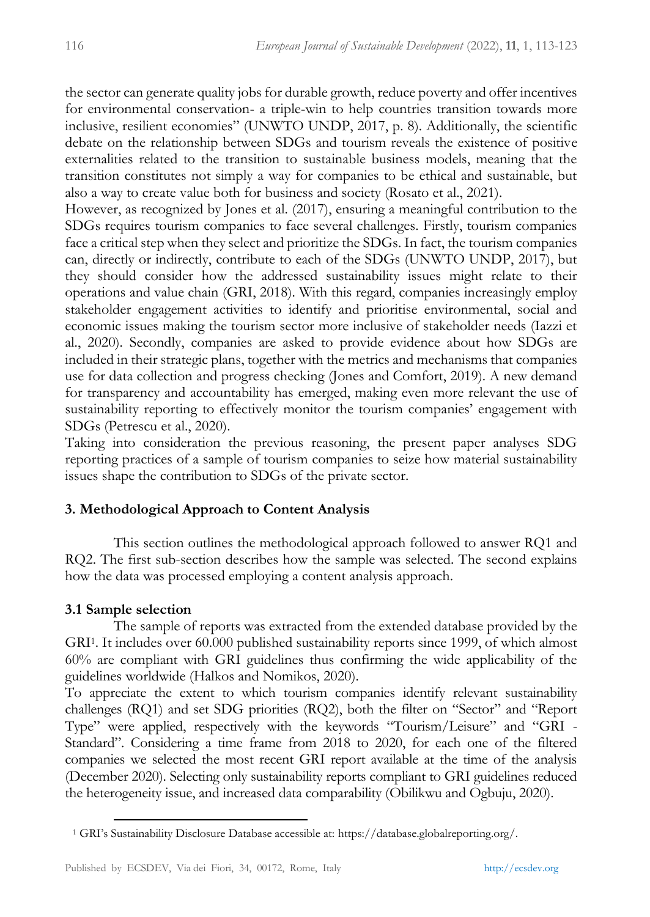the sector can generate quality jobs for durable growth, reduce poverty and offer incentives for environmental conservation- a triple-win to help countries transition towards more inclusive, resilient economies" (UNWTO UNDP, 2017, p. 8). Additionally, the scientific debate on the relationship between SDGs and tourism reveals the existence of positive externalities related to the transition to sustainable business models, meaning that the transition constitutes not simply a way for companies to be ethical and sustainable, but also a way to create value both for business and society (Rosato et al., 2021).

However, as recognized by Jones et al. (2017), ensuring a meaningful contribution to the SDGs requires tourism companies to face several challenges. Firstly, tourism companies face a critical step when they select and prioritize the SDGs. In fact, the tourism companies can, directly or indirectly, contribute to each of the SDGs (UNWTO UNDP, 2017), but they should consider how the addressed sustainability issues might relate to their operations and value chain (GRI, 2018). With this regard, companies increasingly employ stakeholder engagement activities to identify and prioritise environmental, social and economic issues making the tourism sector more inclusive of stakeholder needs (Iazzi et al., 2020). Secondly, companies are asked to provide evidence about how SDGs are included in their strategic plans, together with the metrics and mechanisms that companies use for data collection and progress checking (Jones and Comfort, 2019). A new demand for transparency and accountability has emerged, making even more relevant the use of sustainability reporting to effectively monitor the tourism companies' engagement with SDGs (Petrescu et al., 2020).

Taking into consideration the previous reasoning, the present paper analyses SDG reporting practices of a sample of tourism companies to seize how material sustainability issues shape the contribution to SDGs of the private sector.

# **3. Methodological Approach to Content Analysis**

This section outlines the methodological approach followed to answer RQ1 and RQ2. The first sub-section describes how the sample was selected. The second explains how the data was processed employing a content analysis approach.

# **3.1 Sample selection**

The sample of reports was extracted from the extended database provided by the GRI<sup>1</sup> . It includes over 60.000 published sustainability reports since 1999, of which almost 60% are compliant with GRI guidelines thus confirming the wide applicability of the guidelines worldwide (Halkos and Nomikos, 2020).

To appreciate the extent to which tourism companies identify relevant sustainability challenges (RQ1) and set SDG priorities (RQ2), both the filter on "Sector" and "Report Type" were applied, respectively with the keywords "Tourism/Leisure" and "GRI - Standard". Considering a time frame from 2018 to 2020, for each one of the filtered companies we selected the most recent GRI report available at the time of the analysis (December 2020). Selecting only sustainability reports compliant to GRI guidelines reduced the heterogeneity issue, and increased data comparability (Obilikwu and Ogbuju, 2020).

<sup>1</sup> GRI's Sustainability Disclosure Database accessible at: https://database.globalreporting.org/.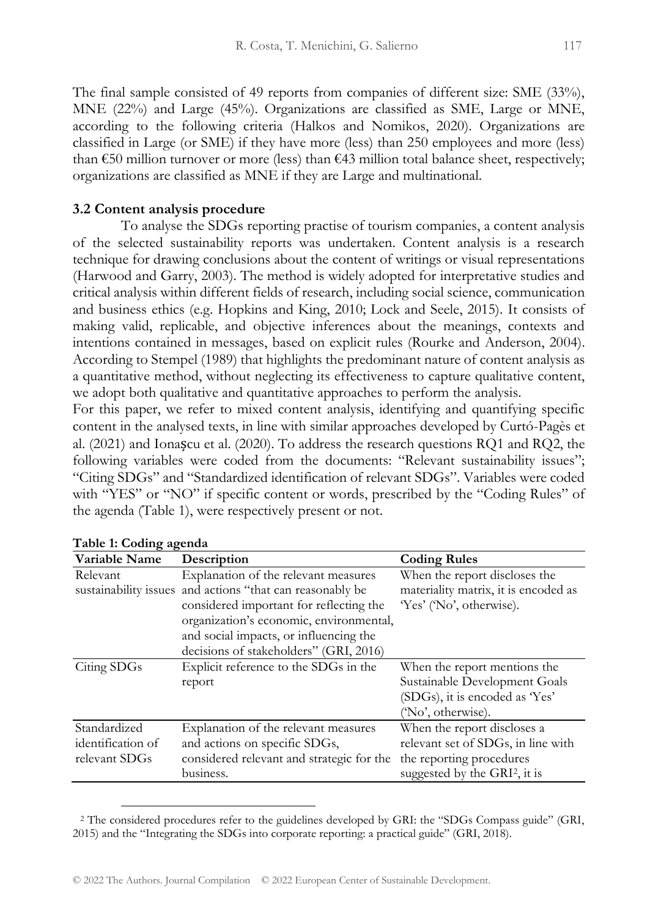The final sample consisted of 49 reports from companies of different size: SME (33%), MNE (22%) and Large (45%). Organizations are classified as SME, Large or MNE, according to the following criteria (Halkos and Nomikos, 2020). Organizations are classified in Large (or SME) if they have more (less) than 250 employees and more (less) than  $\epsilon$ 50 million turnover or more (less) than  $\epsilon$ 43 million total balance sheet, respectively; organizations are classified as MNE if they are Large and multinational.

### **3.2 Content analysis procedure**

To analyse the SDGs reporting practise of tourism companies, a content analysis of the selected sustainability reports was undertaken. Content analysis is a research technique for drawing conclusions about the content of writings or visual representations (Harwood and Garry, 2003). The method is widely adopted for interpretative studies and critical analysis within different fields of research, including social science, communication and business ethics (e.g. Hopkins and King, 2010; Lock and Seele, 2015). It consists of making valid, replicable, and objective inferences about the meanings, contexts and intentions contained in messages, based on explicit rules (Rourke and Anderson, 2004). According to Stempel (1989) that highlights the predominant nature of content analysis as a quantitative method, without neglecting its effectiveness to capture qualitative content, we adopt both qualitative and quantitative approaches to perform the analysis.

For this paper, we refer to mixed content analysis, identifying and quantifying specific content in the analysed texts, in line with similar approaches developed by Curtó-Pagès et al. (2021) and Ionașcu et al. (2020). To address the research questions RQ1 and RQ2, the following variables were coded from the documents: "Relevant sustainability issues"; "Citing SDGs" and "Standardized identification of relevant SDGs". Variables were coded with "YES" or "NO" if specific content or words, prescribed by the "Coding Rules" of the agenda (Table 1), were respectively present or not.

| Variable Name     | Description                                               | <b>Coding Rules</b>                  |
|-------------------|-----------------------------------------------------------|--------------------------------------|
| Relevant          | Explanation of the relevant measures                      | When the report discloses the        |
|                   | sustainability issues and actions "that can reasonably be | materiality matrix, it is encoded as |
|                   | considered important for reflecting the                   | 'Yes' ('No', otherwise).             |
|                   | organization's economic, environmental,                   |                                      |
|                   | and social impacts, or influencing the                    |                                      |
|                   | decisions of stakeholders" (GRI, 2016)                    |                                      |
| Citing SDGs       | Explicit reference to the SDGs in the                     | When the report mentions the         |
|                   | report                                                    | Sustainable Development Goals        |
|                   |                                                           | (SDGs), it is encoded as 'Yes'       |
|                   |                                                           | ('No', otherwise).                   |
| Standardized      | Explanation of the relevant measures                      | When the report discloses a          |
| identification of | and actions on specific SDGs,                             | relevant set of SDGs, in line with   |
| relevant SDGs     | considered relevant and strategic for the                 | the reporting procedures             |
|                   | business.                                                 | suggested by the $GRI2$ , it is      |

|  |  | Table 1: Coding agenda |  |
|--|--|------------------------|--|
|--|--|------------------------|--|

<sup>2</sup> The considered procedures refer to the guidelines developed by GRI: the "SDGs Compass guide" (GRI, 2015) and the "Integrating the SDGs into corporate reporting: a practical guide" (GRI, 2018).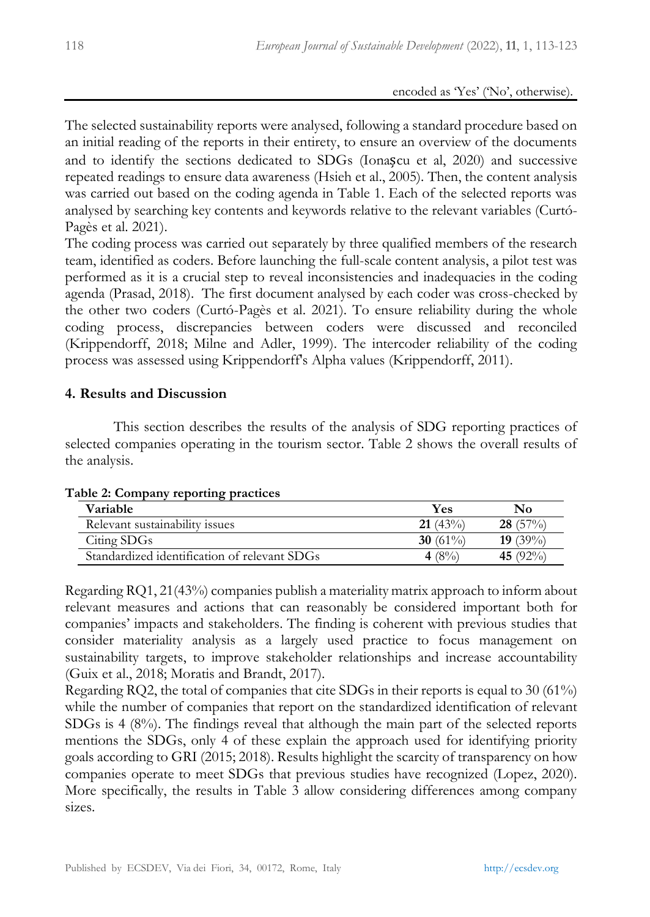The selected sustainability reports were analysed, following a standard procedure based on an initial reading of the reports in their entirety, to ensure an overview of the documents and to identify the sections dedicated to SDGs (Ionașcu et al, 2020) and successive repeated readings to ensure data awareness (Hsieh et al., 2005). Then, the content analysis was carried out based on the coding agenda in Table 1. Each of the selected reports was analysed by searching key contents and keywords relative to the relevant variables (Curtó-Pagès et al. 2021).

The coding process was carried out separately by three qualified members of the research team, identified as coders. Before launching the full-scale content analysis, a pilot test was performed as it is a crucial step to reveal inconsistencies and inadequacies in the coding agenda (Prasad, 2018). The first document analysed by each coder was cross-checked by the other two coders (Curtó-Pagès et al. 2021). To ensure reliability during the whole coding process, discrepancies between coders were discussed and reconciled (Krippendorff, 2018; Milne and Adler, 1999). The intercoder reliability of the coding process was assessed using Krippendorff's Alpha values (Krippendorff, 2011).

## **4. Results and Discussion**

This section describes the results of the analysis of SDG reporting practices of selected companies operating in the tourism sector. Table 2 shows the overall results of the analysis.

| able 2. Company reporting practices<br><b>Variable</b> | Yes         | No              |
|--------------------------------------------------------|-------------|-----------------|
| Relevant sustainability issues                         | 21(43%)     | $28(57\%)$      |
| Citing SDGs                                            | 30 $(61\%)$ | <b>19</b> (39%) |
| Standardized identification of relevant SDGs           | 4 (8%)      | 45 $(92\%)$     |

### **Table 2: Company reporting practices**

Regarding RQ1, 21(43%) companies publish a materiality matrix approach to inform about relevant measures and actions that can reasonably be considered important both for companies' impacts and stakeholders. The finding is coherent with previous studies that consider materiality analysis as a largely used practice to focus management on sustainability targets, to improve stakeholder relationships and increase accountability (Guix et al., 2018; Moratis and Brandt, 2017).

Regarding RQ2, the total of companies that cite SDGs in their reports is equal to 30 (61%) while the number of companies that report on the standardized identification of relevant SDGs is 4 (8%). The findings reveal that although the main part of the selected reports mentions the SDGs, only 4 of these explain the approach used for identifying priority goals according to GRI (2015; 2018). Results highlight the scarcity of transparency on how companies operate to meet SDGs that previous studies have recognized (Lopez, 2020). More specifically, the results in Table 3 allow considering differences among company sizes.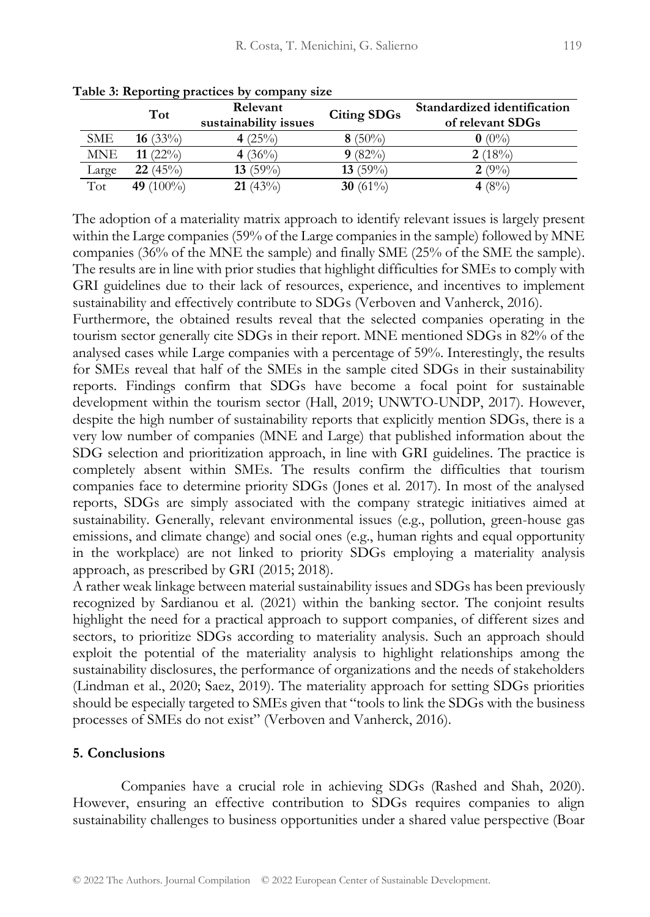|            | Tot          | Relevant<br>sustainability issues | <b>Citing SDGs</b> | Standardized identification<br>of relevant SDGs |
|------------|--------------|-----------------------------------|--------------------|-------------------------------------------------|
| <b>SME</b> | 16 $(33\%)$  | 4 $(25\%)$                        | 8 $(50\%)$         | $\mathbf{0}$ (0%)                               |
| <b>MNE</b> | 11 $(22\%)$  | 4 $(36\%)$                        | 9(82%)             | 2(18%)                                          |
| Large      | 22(45%)      | 13 $(59\%)$                       | 13 $(59\%)$        | 2(9%)                                           |
| Tot        | 49 $(100\%)$ | $21(43\%)$                        | 30 $(61\%)$        | 4 $(8\%)$                                       |

**Table 3: Reporting practices by company size**

The adoption of a materiality matrix approach to identify relevant issues is largely present within the Large companies (59% of the Large companies in the sample) followed by MNE companies (36% of the MNE the sample) and finally SME (25% of the SME the sample). The results are in line with prior studies that highlight difficulties for SMEs to comply with GRI guidelines due to their lack of resources, experience, and incentives to implement sustainability and effectively contribute to SDGs (Verboven and Vanherck, 2016).

Furthermore, the obtained results reveal that the selected companies operating in the tourism sector generally cite SDGs in their report. MNE mentioned SDGs in 82% of the analysed cases while Large companies with a percentage of 59%. Interestingly, the results for SMEs reveal that half of the SMEs in the sample cited SDGs in their sustainability reports. Findings confirm that SDGs have become a focal point for sustainable development within the tourism sector (Hall, 2019; UNWTO-UNDP, 2017). However, despite the high number of sustainability reports that explicitly mention SDGs, there is a very low number of companies (MNE and Large) that published information about the SDG selection and prioritization approach, in line with GRI guidelines. The practice is completely absent within SMEs. The results confirm the difficulties that tourism companies face to determine priority SDGs (Jones et al. 2017). In most of the analysed reports, SDGs are simply associated with the company strategic initiatives aimed at sustainability. Generally, relevant environmental issues (e.g., pollution, green-house gas emissions, and climate change) and social ones (e.g., human rights and equal opportunity in the workplace) are not linked to priority SDGs employing a materiality analysis approach, as prescribed by GRI (2015; 2018).

A rather weak linkage between material sustainability issues and SDGs has been previously recognized by Sardianou et al. (2021) within the banking sector. The conjoint results highlight the need for a practical approach to support companies, of different sizes and sectors, to prioritize SDGs according to materiality analysis. Such an approach should exploit the potential of the materiality analysis to highlight relationships among the sustainability disclosures, the performance of organizations and the needs of stakeholders (Lindman et al., 2020; Saez, 2019). The materiality approach for setting SDGs priorities should be especially targeted to SMEs given that "tools to link the SDGs with the business processes of SMEs do not exist" (Verboven and Vanherck, 2016).

## **5. Conclusions**

Companies have a crucial role in achieving SDGs (Rashed and Shah, 2020). However, ensuring an effective contribution to SDGs requires companies to align sustainability challenges to business opportunities under a shared value perspective (Boar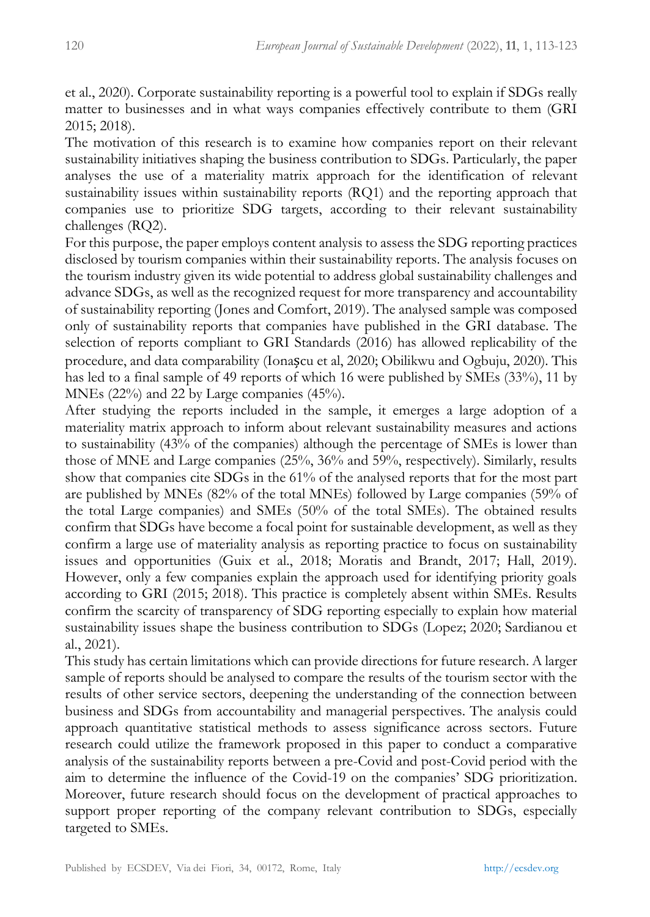et al., 2020). Corporate sustainability reporting is a powerful tool to explain if SDGs really matter to businesses and in what ways companies effectively contribute to them (GRI 2015; 2018).

The motivation of this research is to examine how companies report on their relevant sustainability initiatives shaping the business contribution to SDGs. Particularly, the paper analyses the use of a materiality matrix approach for the identification of relevant sustainability issues within sustainability reports (RQ1) and the reporting approach that companies use to prioritize SDG targets, according to their relevant sustainability challenges (RQ2).

For this purpose, the paper employs content analysis to assess the SDG reporting practices disclosed by tourism companies within their sustainability reports. The analysis focuses on the tourism industry given its wide potential to address global sustainability challenges and advance SDGs, as well as the recognized request for more transparency and accountability of sustainability reporting (Jones and Comfort, 2019). The analysed sample was composed only of sustainability reports that companies have published in the GRI database. The selection of reports compliant to GRI Standards (2016) has allowed replicability of the procedure, and data comparability (Ionașcu et al, 2020; Obilikwu and Ogbuju, 2020). This has led to a final sample of 49 reports of which 16 were published by SMEs (33%), 11 by MNEs (22%) and 22 by Large companies (45%).

After studying the reports included in the sample, it emerges a large adoption of a materiality matrix approach to inform about relevant sustainability measures and actions to sustainability (43% of the companies) although the percentage of SMEs is lower than those of MNE and Large companies (25%, 36% and 59%, respectively). Similarly, results show that companies cite SDGs in the 61% of the analysed reports that for the most part are published by MNEs (82% of the total MNEs) followed by Large companies (59% of the total Large companies) and SMEs (50% of the total SMEs). The obtained results confirm that SDGs have become a focal point for sustainable development, as well as they confirm a large use of materiality analysis as reporting practice to focus on sustainability issues and opportunities (Guix et al., 2018; Moratis and Brandt, 2017; Hall, 2019). However, only a few companies explain the approach used for identifying priority goals according to GRI (2015; 2018). This practice is completely absent within SMEs. Results confirm the scarcity of transparency of SDG reporting especially to explain how material sustainability issues shape the business contribution to SDGs (Lopez; 2020; Sardianou et al., 2021).

This study has certain limitations which can provide directions for future research. A larger sample of reports should be analysed to compare the results of the tourism sector with the results of other service sectors, deepening the understanding of the connection between business and SDGs from accountability and managerial perspectives. The analysis could approach quantitative statistical methods to assess significance across sectors. Future research could utilize the framework proposed in this paper to conduct a comparative analysis of the sustainability reports between a pre-Covid and post-Covid period with the aim to determine the influence of the Covid-19 on the companies' SDG prioritization. Moreover, future research should focus on the development of practical approaches to support proper reporting of the company relevant contribution to SDGs, especially targeted to SMEs.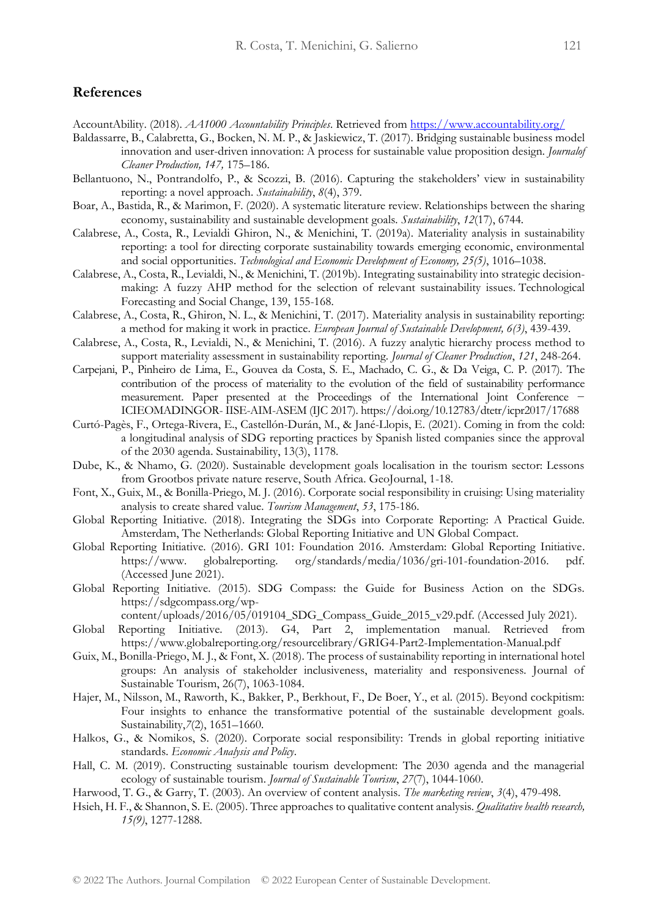#### **References**

AccountAbility. (2018). *AA1000 Accountability Principles*. Retrieved fro[m https://www.accountability.org/](https://www.accountability.org/)

- Baldassarre, B., Calabretta, G., Bocken, N. M. P., & Jaskiewicz, T. (2017). Bridging sustainable business model innovation and user-driven innovation: A process for sustainable value proposition design. *Journalof Cleaner Production, 147,* 175–186.
- Bellantuono, N., Pontrandolfo, P., & Scozzi, B. (2016). Capturing the stakeholders' view in sustainability reporting: a novel approach. *Sustainability*, *8*(4), 379.
- Boar, A., Bastida, R., & Marimon, F. (2020). A systematic literature review. Relationships between the sharing economy, sustainability and sustainable development goals. *Sustainability*, *12*(17), 6744.
- Calabrese, A., Costa, R., Levialdi Ghiron, N., & Menichini, T. (2019a). Materiality analysis in sustainability reporting: a tool for directing corporate sustainability towards emerging economic, environmental and social opportunities. *Technological and Economic Development of Economy, 25(5)*, 1016–1038.
- Calabrese, A., Costa, R., Levialdi, N., & Menichini, T. (2019b). Integrating sustainability into strategic decisionmaking: A fuzzy AHP method for the selection of relevant sustainability issues. Technological Forecasting and Social Change, 139, 155-168.
- Calabrese, A., Costa, R., Ghiron, N. L., & Menichini, T. (2017). Materiality analysis in sustainability reporting: a method for making it work in practice. *European Journal of Sustainable Development, 6(3)*, 439-439.
- Calabrese, A., Costa, R., Levialdi, N., & Menichini, T. (2016). A fuzzy analytic hierarchy process method to support materiality assessment in sustainability reporting. *Journal of Cleaner Production*, *121*, 248-264.
- Carpejani, P., Pinheiro de Lima, E., Gouvea da Costa, S. E., Machado, C. G., & Da Veiga, C. P. (2017). The contribution of the process of materiality to the evolution of the field of sustainability performance measurement. Paper presented at the Proceedings of the International Joint Conference − ICIEOMADINGOR- IISE-AIM-ASEM (IJC 2017). https://doi.org/10.12783/dtetr/icpr2017/17688
- Curtó-Pagès, F., Ortega-Rivera, E., Castellón-Durán, M., & Jané-Llopis, E. (2021). Coming in from the cold: a longitudinal analysis of SDG reporting practices by Spanish listed companies since the approval of the 2030 agenda. Sustainability, 13(3), 1178.
- Dube, K., & Nhamo, G. (2020). Sustainable development goals localisation in the tourism sector: Lessons from Grootbos private nature reserve, South Africa. GeoJournal, 1-18.
- Font, X., Guix, M., & Bonilla-Priego, M. J. (2016). Corporate social responsibility in cruising: Using materiality analysis to create shared value. *Tourism Management*, *53*, 175-186.
- Global Reporting Initiative. (2018). Integrating the SDGs into Corporate Reporting: A Practical Guide. Amsterdam, The Netherlands: Global Reporting Initiative and UN Global Compact.
- Global Reporting Initiative. (2016). GRI 101: Foundation 2016. Amsterdam: Global Reporting Initiative. https://www. globalreporting. org/standards/media/1036/gri-101-foundation-2016. pdf. (Accessed June 2021).
- Global Reporting Initiative. (2015). SDG Compass: the Guide for Business Action on the SDGs. https://sdgcompass.org/wp-

content/uploads/2016/05/019104\_SDG\_Compass\_Guide\_2015\_v29.pdf. (Accessed July 2021).

- Global Reporting Initiative. (2013). G4, Part 2, implementation manual. Retrieved from https://www.globalreporting.org/resourcelibrary/GRIG4-Part2-Implementation-Manual.pdf
- Guix, M., Bonilla-Priego, M. J., & Font, X. (2018). The process of sustainability reporting in international hotel groups: An analysis of stakeholder inclusiveness, materiality and responsiveness. Journal of Sustainable Tourism, 26(7), 1063-1084.
- Hajer, M., Nilsson, M., Raworth, K., Bakker, P., Berkhout, F., De Boer, Y., et al. (2015). Beyond cockpitism: Four insights to enhance the transformative potential of the sustainable development goals. Sustainability,*7*(2), 1651–1660.
- Halkos, G., & Nomikos, S. (2020). Corporate social responsibility: Trends in global reporting initiative standards. *Economic Analysis and Policy*.
- Hall, C. M. (2019). Constructing sustainable tourism development: The 2030 agenda and the managerial ecology of sustainable tourism. *Journal of Sustainable Tourism*, *27*(7), 1044-1060.
- Harwood, T. G., & Garry, T. (2003). An overview of content analysis. *The marketing review*, *3*(4), 479-498.
- Hsieh, H. F., & Shannon, S. E. (2005). Three approaches to qualitative content analysis. *Qualitative health research, 15(9)*, 1277-1288.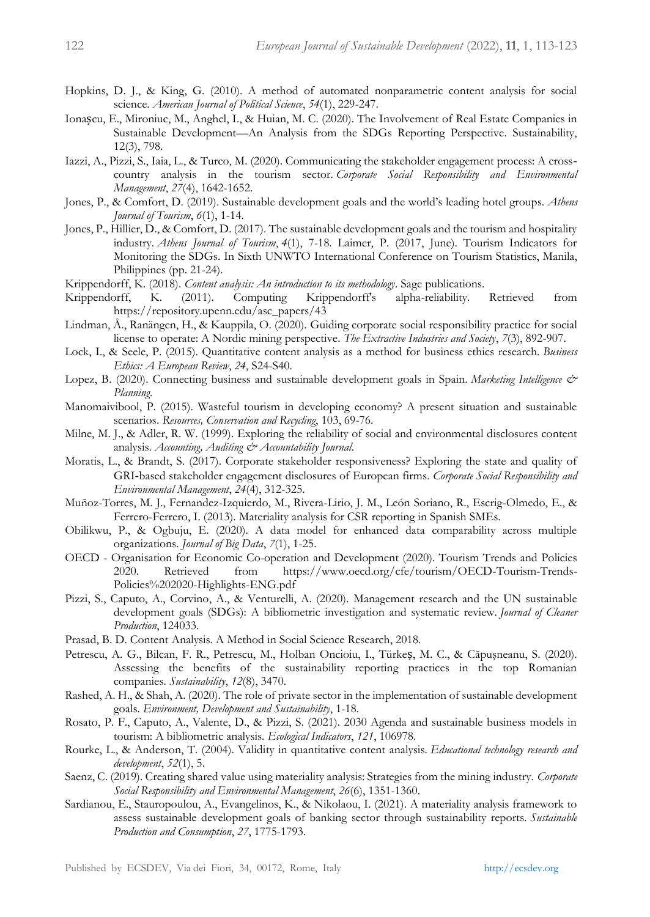- Hopkins, D. J., & King, G. (2010). A method of automated nonparametric content analysis for social science. *American Journal of Political Science*, *54*(1), 229-247.
- Ionașcu, E., Mironiuc, M., Anghel, I., & Huian, M. C. (2020). The Involvement of Real Estate Companies in Sustainable Development—An Analysis from the SDGs Reporting Perspective. Sustainability, 12(3), 798.
- Iazzi, A., Pizzi, S., Iaia, L., & Turco, M. (2020). Communicating the stakeholder engagement process: A cross‐ country analysis in the tourism sector. *Corporate Social Responsibility and Environmental Management*, *27*(4), 1642-1652.
- Jones, P., & Comfort, D. (2019). Sustainable development goals and the world's leading hotel groups. *Athens Journal of Tourism*, *6*(1), 1-14.
- Jones, P., Hillier, D., & Comfort, D. (2017). The sustainable development goals and the tourism and hospitality industry. *Athens Journal of Tourism*, *4*(1), 7-18. Laimer, P. (2017, June). Tourism Indicators for Monitoring the SDGs. In Sixth UNWTO International Conference on Tourism Statistics, Manila, Philippines (pp. 21-24).
- Krippendorff, K. (2018). *Content analysis: An introduction to its methodology*. Sage publications.
- Krippendorff, K. (2011). Computing Krippendorff's alpha-reliability. Retrieved from https://repository.upenn.edu/asc\_papers/43
- Lindman, Å., Ranängen, H., & Kauppila, O. (2020). Guiding corporate social responsibility practice for social license to operate: A Nordic mining perspective. *The Extractive Industries and Society*, *7*(3), 892-907.
- Lock, I., & Seele, P. (2015). Quantitative content analysis as a method for business ethics research. *Business Ethics: A European Review*, *24*, S24-S40.
- Lopez, B. (2020). Connecting business and sustainable development goals in Spain. *Marketing Intelligence & Planning*.
- Manomaivibool, P. (2015). Wasteful tourism in developing economy? A present situation and sustainable scenarios. *Resources, Conservation and Recycling*, 103, 69-76.
- Milne, M. J., & Adler, R. W. (1999). Exploring the reliability of social and environmental disclosures content analysis. *Accounting, Auditing & Accountability Journal*.
- Moratis, L., & Brandt, S. (2017). Corporate stakeholder responsiveness? Exploring the state and quality of GRI‐based stakeholder engagement disclosures of European firms. *Corporate Social Responsibility and Environmental Management*, *24*(4), 312-325.
- Muñoz-Torres, M. J., Fernandez-Izquierdo, M., Rivera-Lirio, J. M., León Soriano, R., Escrig-Olmedo, E., & Ferrero-Ferrero, I. (2013). Materiality analysis for CSR reporting in Spanish SMEs.
- Obilikwu, P., & Ogbuju, E. (2020). A data model for enhanced data comparability across multiple organizations. *Journal of Big Data*, *7*(1), 1-25.
- OECD Organisation for Economic Co-operation and Development (2020). Tourism Trends and Policies 2020. Retrieved from https://www.oecd.org/cfe/tourism/OECD-Tourism-Trends-Policies%202020-Highlights-ENG.pdf
- Pizzi, S., Caputo, A., Corvino, A., & Venturelli, A. (2020). Management research and the UN sustainable development goals (SDGs): A bibliometric investigation and systematic review. *Journal of Cleaner Production*, 124033.
- Prasad, B. D. Content Analysis. A Method in Social Science Research, 2018.
- Petrescu, A. G., Bilcan, F. R., Petrescu, M., Holban Oncioiu, I., Türkeș, M. C., & Căpuşneanu, S. (2020). Assessing the benefits of the sustainability reporting practices in the top Romanian companies. *Sustainability*, *12*(8), 3470.
- Rashed, A. H., & Shah, A. (2020). The role of private sector in the implementation of sustainable development goals. *Environment, Development and Sustainability*, 1-18.
- Rosato, P. F., Caputo, A., Valente, D., & Pizzi, S. (2021). 2030 Agenda and sustainable business models in tourism: A bibliometric analysis. *Ecological Indicators*, *121*, 106978.
- Rourke, L., & Anderson, T. (2004). Validity in quantitative content analysis. *Educational technology research and development*, *52*(1), 5.
- Saenz, C. (2019). Creating shared value using materiality analysis: Strategies from the mining industry. *Corporate Social Responsibility and Environmental Management*, *26*(6), 1351-1360.
- Sardianou, E., Stauropoulou, A., Evangelinos, K., & Nikolaou, I. (2021). A materiality analysis framework to assess sustainable development goals of banking sector through sustainability reports. *Sustainable Production and Consumption*, *27*, 1775-1793.